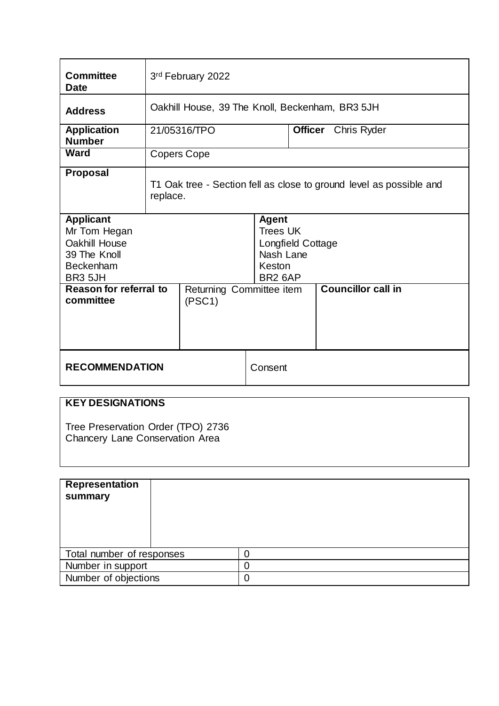| <b>Committee</b><br><b>Date</b>                                                                         | 3rd February 2022                                                               |                          |                                                                                                    |                           |                            |  |
|---------------------------------------------------------------------------------------------------------|---------------------------------------------------------------------------------|--------------------------|----------------------------------------------------------------------------------------------------|---------------------------|----------------------------|--|
| <b>Address</b>                                                                                          | Oakhill House, 39 The Knoll, Beckenham, BR3 5JH                                 |                          |                                                                                                    |                           |                            |  |
| <b>Application</b><br><b>Number</b>                                                                     |                                                                                 | 21/05316/TPO             |                                                                                                    |                           | <b>Officer</b> Chris Ryder |  |
| Ward                                                                                                    | <b>Copers Cope</b>                                                              |                          |                                                                                                    |                           |                            |  |
| <b>Proposal</b>                                                                                         | T1 Oak tree - Section fell as close to ground level as possible and<br>replace. |                          |                                                                                                    |                           |                            |  |
| <b>Applicant</b><br>Mr Tom Hegan<br>Oakhill House<br>39 The Knoll<br><b>Beckenham</b><br><b>BR3 5JH</b> |                                                                                 |                          | <b>Agent</b><br><b>Trees UK</b><br>Longfield Cottage<br>Nash Lane<br>Keston<br>BR <sub>2</sub> 6AP |                           |                            |  |
| Reason for referral to<br>committee<br>(PSC1)                                                           |                                                                                 | Returning Committee item |                                                                                                    | <b>Councillor call in</b> |                            |  |
| <b>RECOMMENDATION</b>                                                                                   |                                                                                 |                          |                                                                                                    | Consent                   |                            |  |

# **KEY DESIGNATIONS**

Tree Preservation Order (TPO) 2736 Chancery Lane Conservation Area

| <b>Representation</b><br>summary |   |
|----------------------------------|---|
| Total number of responses        |   |
| Number in support                |   |
| Number of objections             | 0 |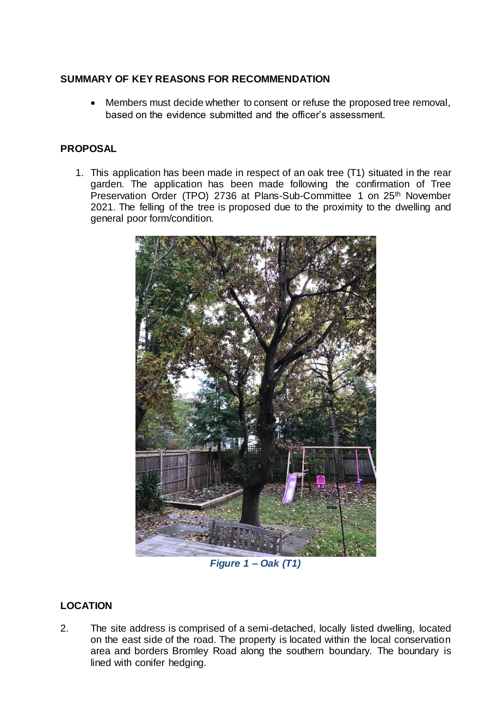# **SUMMARY OF KEY REASONS FOR RECOMMENDATION**

 Members must decide whether to consent or refuse the proposed tree removal, based on the evidence submitted and the officer's assessment.

# **PROPOSAL**

1. This application has been made in respect of an oak tree (T1) situated in the rear garden. The application has been made following the confirmation of Tree Preservation Order (TPO) 2736 at Plans-Sub-Committee 1 on 25<sup>th</sup> November 2021. The felling of the tree is proposed due to the proximity to the dwelling and general poor form/condition.



*Figure 1 – Oak (T1)*

# **LOCATION**

2. The site address is comprised of a semi-detached, locally listed dwelling, located on the east side of the road. The property is located within the local conservation area and borders Bromley Road along the southern boundary. The boundary is lined with conifer hedging.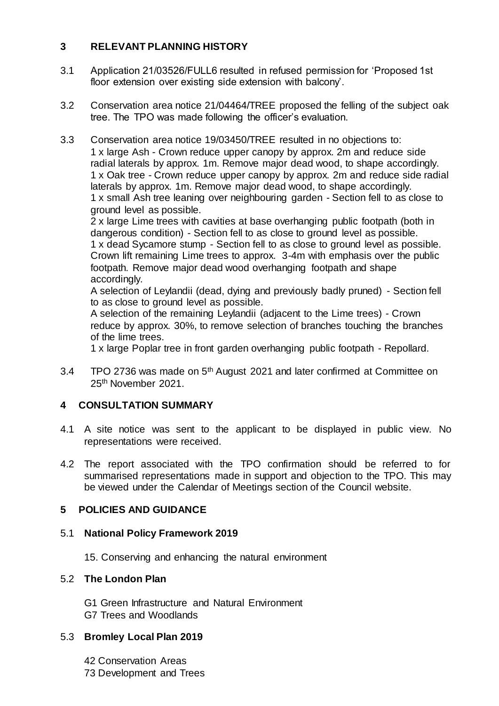## **3 RELEVANT PLANNING HISTORY**

- 3.1 Application 21/03526/FULL6 resulted in refused permission for 'Proposed 1st floor extension over existing side extension with balcony'.
- 3.2 Conservation area notice 21/04464/TREE proposed the felling of the subject oak tree. The TPO was made following the officer's evaluation.
- 3.3 Conservation area notice 19/03450/TREE resulted in no objections to: 1 x large Ash - Crown reduce upper canopy by approx. 2m and reduce side radial laterals by approx. 1m. Remove major dead wood, to shape accordingly. 1 x Oak tree - Crown reduce upper canopy by approx. 2m and reduce side radial laterals by approx. 1m. Remove major dead wood, to shape accordingly. 1 x small Ash tree leaning over neighbouring garden - Section fell to as close to ground level as possible.

2 x large Lime trees with cavities at base overhanging public footpath (both in dangerous condition) - Section fell to as close to ground level as possible. 1 x dead Sycamore stump - Section fell to as close to ground level as possible. Crown lift remaining Lime trees to approx. 3-4m with emphasis over the public footpath. Remove major dead wood overhanging footpath and shape accordingly.

A selection of Leylandii (dead, dying and previously badly pruned) - Section fell to as close to ground level as possible.

A selection of the remaining Leylandii (adjacent to the Lime trees) - Crown reduce by approx. 30%, to remove selection of branches touching the branches of the lime trees.

1 x large Poplar tree in front garden overhanging public footpath - Repollard.

3.4 TPO 2736 was made on 5<sup>th</sup> August 2021 and later confirmed at Committee on 25th November 2021.

## **4 CONSULTATION SUMMARY**

- 4.1 A site notice was sent to the applicant to be displayed in public view. No representations were received.
- 4.2 The report associated with the TPO confirmation should be referred to for summarised representations made in support and objection to the TPO. This may be viewed under the Calendar of Meetings section of the Council website.

#### **5 POLICIES AND GUIDANCE**

#### 5.1 **National Policy Framework 2019**

15. Conserving and enhancing the natural environment

#### 5.2 **The London Plan**

G1 Green Infrastructure and Natural Environment G7 Trees and Woodlands

#### 5.3 **Bromley Local Plan 2019**

42 Conservation Areas 73 Development and Trees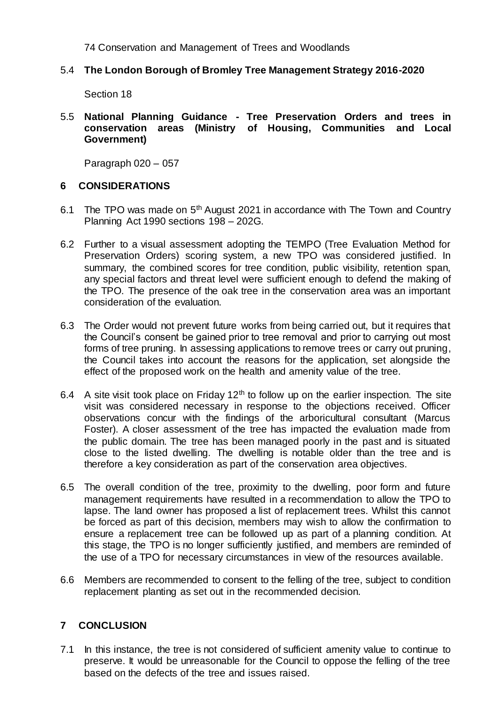74 Conservation and Management of Trees and Woodlands

#### 5.4 **The London Borough of Bromley Tree Management Strategy 2016-2020**

Section 18

#### 5.5 **National Planning Guidance - Tree Preservation Orders and trees in conservation areas (Ministry of Housing, Communities and Local Government)**

Paragraph 020 – 057

#### **6 CONSIDERATIONS**

- 6.1 The TPO was made on  $5<sup>th</sup>$  August 2021 in accordance with The Town and Country Planning Act 1990 sections 198 – 202G.
- 6.2 Further to a visual assessment adopting the TEMPO (Tree Evaluation Method for Preservation Orders) scoring system, a new TPO was considered justified. In summary, the combined scores for tree condition, public visibility, retention span, any special factors and threat level were sufficient enough to defend the making of the TPO. The presence of the oak tree in the conservation area was an important consideration of the evaluation.
- 6.3 The Order would not prevent future works from being carried out, but it requires that the Council's consent be gained prior to tree removal and prior to carrying out most forms of tree pruning. In assessing applications to remove trees or carry out pruning, the Council takes into account the reasons for the application, set alongside the effect of the proposed work on the health and amenity value of the tree.
- 6.4 A site visit took place on Friday  $12<sup>th</sup>$  to follow up on the earlier inspection. The site visit was considered necessary in response to the objections received. Officer observations concur with the findings of the arboricultural consultant (Marcus Foster). A closer assessment of the tree has impacted the evaluation made from the public domain. The tree has been managed poorly in the past and is situated close to the listed dwelling. The dwelling is notable older than the tree and is therefore a key consideration as part of the conservation area objectives.
- 6.5 The overall condition of the tree, proximity to the dwelling, poor form and future management requirements have resulted in a recommendation to allow the TPO to lapse. The land owner has proposed a list of replacement trees. Whilst this cannot be forced as part of this decision, members may wish to allow the confirmation to ensure a replacement tree can be followed up as part of a planning condition. At this stage, the TPO is no longer sufficiently justified, and members are reminded of the use of a TPO for necessary circumstances in view of the resources available.
- 6.6 Members are recommended to consent to the felling of the tree, subject to condition replacement planting as set out in the recommended decision.

## **7 CONCLUSION**

7.1 In this instance, the tree is not considered of sufficient amenity value to continue to preserve. It would be unreasonable for the Council to oppose the felling of the tree based on the defects of the tree and issues raised.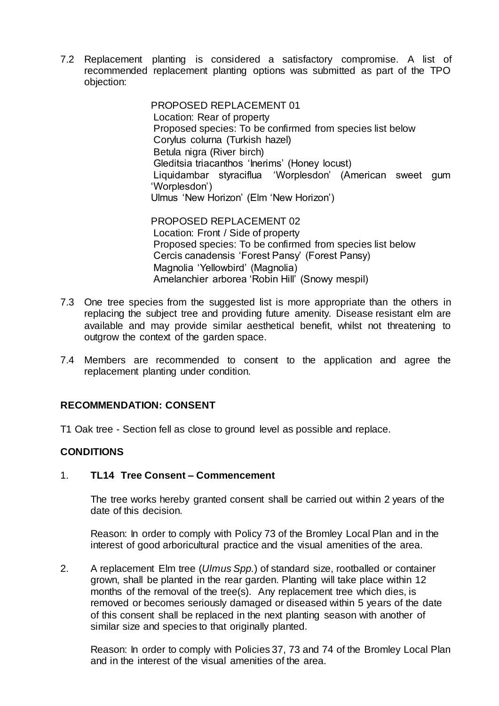7.2 Replacement planting is considered a satisfactory compromise. A list of recommended replacement planting options was submitted as part of the TPO objection:

> PROPOSED REPLACEMENT 01 Location: Rear of property Proposed species: To be confirmed from species list below Corylus colurna (Turkish hazel) Betula nigra (River birch) Gleditsia triacanthos 'Inerims' (Honey locust) Liquidambar styraciflua 'Worplesdon' (American sweet gum 'Worplesdon') Ulmus 'New Horizon' (Elm 'New Horizon')

PROPOSED REPLACEMENT 02 Location: Front / Side of property Proposed species: To be confirmed from species list below Cercis canadensis 'Forest Pansy' (Forest Pansy) Magnolia 'Yellowbird' (Magnolia) Amelanchier arborea 'Robin Hill' (Snowy mespil)

- 7.3 One tree species from the suggested list is more appropriate than the others in replacing the subject tree and providing future amenity. Disease resistant elm are available and may provide similar aesthetical benefit, whilst not threatening to outgrow the context of the garden space.
- 7.4 Members are recommended to consent to the application and agree the replacement planting under condition.

#### **RECOMMENDATION: CONSENT**

T1 Oak tree - Section fell as close to ground level as possible and replace.

#### **CONDITIONS**

#### 1. **TL14 Tree Consent – Commencement**

The tree works hereby granted consent shall be carried out within 2 years of the date of this decision.

Reason: In order to comply with Policy 73 of the Bromley Local Plan and in the interest of good arboricultural practice and the visual amenities of the area.

2. A replacement Elm tree (*Ulmus Spp.*) of standard size, rootballed or container grown, shall be planted in the rear garden. Planting will take place within 12 months of the removal of the tree(s). Any replacement tree which dies, is removed or becomes seriously damaged or diseased within 5 years of the date of this consent shall be replaced in the next planting season with another of similar size and species to that originally planted.

Reason: In order to comply with Policies 37, 73 and 74 of the Bromley Local Plan and in the interest of the visual amenities of the area.